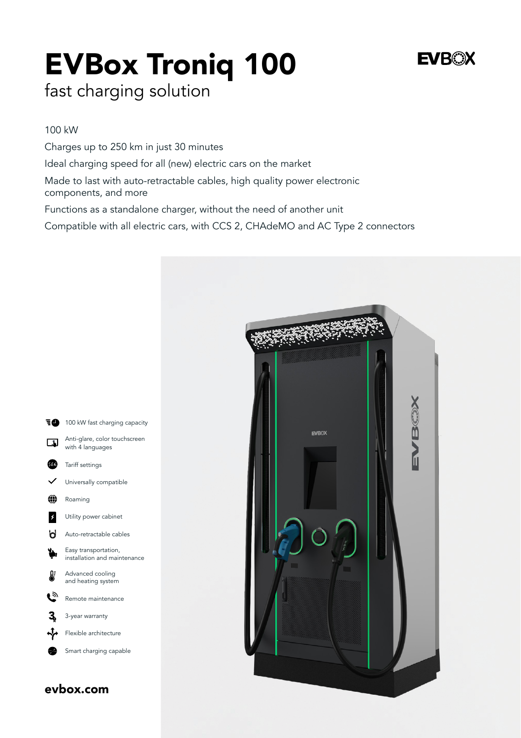# EVBox Troniq 100

# **EVROX**

fast charging solution

#### 100 kW

Charges up to 250 km in just 30 minutes

Ideal charging speed for all (new) electric cars on the market

Made to last with auto-retractable cables, high quality power electronic components, and more

Functions as a standalone charger, without the need of another unit

Compatible with all electric cars, with CCS 2, CHAdeMO and AC Type 2 connectors

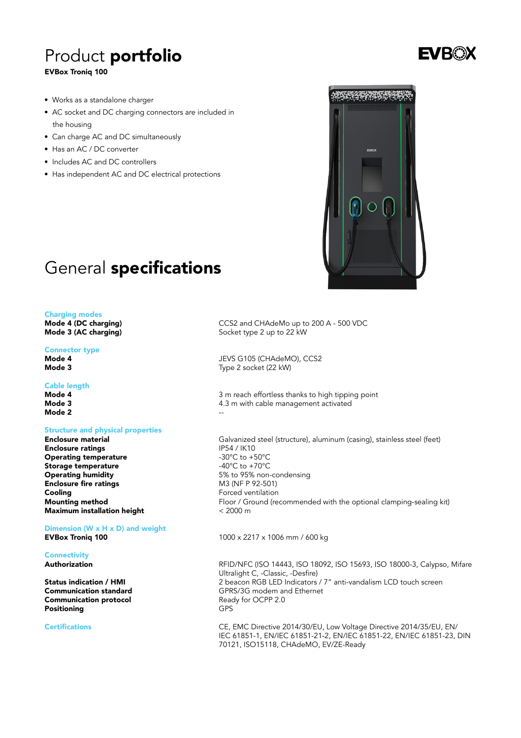# Product portfolio

#### EVBox Troniq 100



- Works as a standalone charger
- AC socket and DC charging connectors are included in the housing
- Can charge AC and DC simultaneously
- Has an AC / DC converter
- Includes AC and DC controllers
- Has independent AC and DC electrical protections

## General specifications

#### Charging modes

Mode 4 (DC charging) Mode 3 (AC charging)

#### Connector type

Mode 4 Mode 3

#### Cable length

Mode 4 Mode 3 Mode 2

#### Structure and physical properties

Enclosure material Enclosure ratings Operating temperature Storage temperature Operating humidity Enclosure fire ratings Cooling Mounting method

Maximum installation height

Dimension (W x H x D) and weight EVBox Troniq 100

**Connectivity** Authorization

Status indication / HMI Communication standard Communication protocol Positioning

Certifications

CCS2 and CHAdeMo up to 200 A - 500 VDC Socket type 2 up to 22 kW

JEVS G105 (CHAdeMO), CCS2 Type 2 socket (22 kW)

3 m reach effortless thanks to high tipping point 4.3 m with cable management activated --

Galvanized steel (structure), aluminum (casing), stainless steel (feet) IP54 / IK10 -30°C to +50°C -40°C to +70°C 5% to 95% non-condensing M3 (NF P 92-501) Forced ventilation Floor / Ground (recommended with the optional clamping-sealing kit)  $< 2000 \text{ m}$ 

1000 x 2217 x 1006 mm / 600 kg

RFID/NFC (ISO 14443, ISO 18092, ISO 15693, ISO 18000-3, Calypso, Mifare Ultralight C, -Classic, -Desfire) 2 beacon RGB LED Indicators / 7" anti-vandalism LCD touch screen GPRS/3G modem and Ethernet Ready for OCPP 2.0 GPS

CE, EMC Directive 2014/30/EU, Low Voltage Directive 2014/35/EU, EN/ IEC 61851-1, EN/IEC 61851-21-2, EN/IEC 61851-22, EN/IEC 61851-23, DIN 70121, ISO15118, CHAdeMO, EV/ZE-Ready